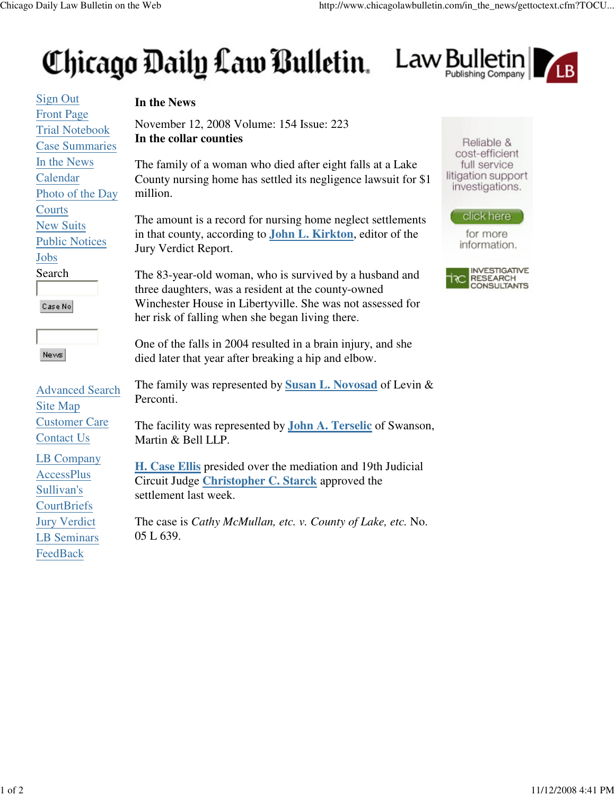## Chicago Daily Law Bulletin. Law Bulletin



Sign Out **In the News** Front Page Trial Notebook Case Summaries In the News Calendar Photo of the Day million. **Courts** New Suits Public Notices Jobs Search Case No News Advanced Search Perconti. Site Map Customer Care Contact Us LB Company AccessPlus Sullivan's **CourtBriefs** Jury Verdict 05 L 639.LB Seminars FeedBack

November 12, 2008 Volume: 154 Issue: 223 **In the collar counties**

The family of a woman who died after eight falls at a Lake County nursing home has settled its negligence lawsuit for \$1

The amount is a record for nursing home neglect settlements in that county, according to **John L. Kirkton**, editor of the Jury Verdict Report.

The 83-year-old woman, who is survived by a husband and three daughters, was a resident at the county-owned Winchester House in Libertyville. She was not assessed for her risk of falling when she began living there.

One of the falls in 2004 resulted in a brain injury, and she died later that year after breaking a hip and elbow.

The family was represented by **Susan L. Novosad** of Levin &

The facility was represented by **John A. Terselic** of Swanson, Martin & Bell LLP.

**H. Case Ellis** presided over the mediation and 19th Judicial Circuit Judge **Christopher C. Starck** approved the settlement last week.

The case is *Cathy McMullan, etc. v. County of Lake, etc.* No.